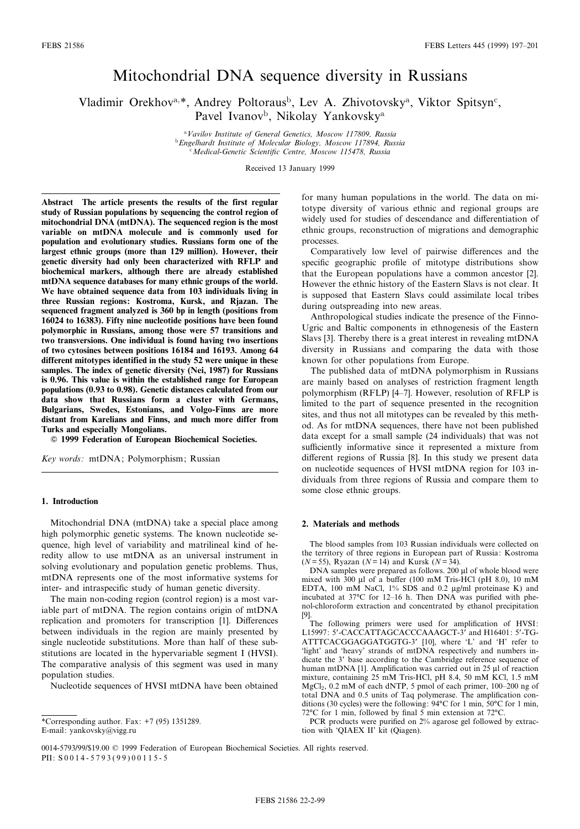# Mitochondrial DNA sequence diversity in Russians

Vladimir Orekhov<sup>a,\*</sup>, Andrey Poltoraus<sup>b</sup>, Lev A. Zhivotovsky<sup>a</sup>, Viktor Spitsyn<sup>c</sup>, Pavel Ivanov<sup>b</sup>, Nikolay Yankovsky<sup>a</sup>

> <sup>a</sup>Vavilov Institute of General Genetics, Moscow 117809, Russia <sup>b</sup>Engelhardt Institute of Molecular Biology, Moscow 117894, Russia Medical-Genetic Scientific Centre, Moscow 115478, Russia

> > Received 13 January 1999

Abstract The article presents the results of the first regular study of Russian populations by sequencing the control region of mitochondrial DNA (mtDNA). The sequenced region is the most variable on mtDNA molecule and is commonly used for population and evolutionary studies. Russians form one of the largest ethnic groups (more than 129 million). However, their genetic diversity had only been characterized with RFLP and biochemical markers, although there are already established mtDNA sequence databases for many ethnic groups of the world. We have obtained sequence data from 103 individuals living in three Russian regions: Kostroma, Kursk, and Rjazan. The sequenced fragment analyzed is 360 bp in length (positions from 16024 to 16383). Fifty nine nucleotide positions have been found polymorphic in Russians, among those were 57 transitions and two transversions. One individual is found having two insertions of two cytosines between positions 16184 and 16193. Among 64 different mitotypes identified in the study 52 were unique in these samples. The index of genetic diversity (Nei, 1987) for Russians is 0.96. This value is within the established range for European populations (0.93 to 0.98). Genetic distances calculated from our data show that Russians form a cluster with Germans, Bulgarians, Swedes, Estonians, and Volgo-Finns are more distant from Karelians and Finns, and much more differ from Turks and especially Mongolians.

 $© 1999 Federation of European Biochemical Societies.$ 

Key words: mtDNA; Polymorphism; Russian

#### 1. Introduction

Mitochondrial DNA (mtDNA) take a special place among high polymorphic genetic systems. The known nucleotide sequence, high level of variability and matrilineal kind of heredity allow to use mtDNA as an universal instrument in solving evolutionary and population genetic problems. Thus, mtDNA represents one of the most informative systems for inter- and intraspecific study of human genetic diversity.

The main non-coding region (control region) is a most variable part of mtDNA. The region contains origin of mtDNA replication and promoters for transcription [1]. Differences between individuals in the region are mainly presented by single nucleotide substitutions. More than half of these substitutions are located in the hypervariable segment I (HVSI). The comparative analysis of this segment was used in many population studies.

Nucleotide sequences of HVSI mtDNA have been obtained

for many human populations in the world. The data on mitotype diversity of various ethnic and regional groups are widely used for studies of descendance and differentiation of ethnic groups, reconstruction of migrations and demographic processes.

Comparatively low level of pairwise differences and the specific geographic profile of mitotype distributions show that the European populations have a common ancestor [2]. However the ethnic history of the Eastern Slavs is not clear. It is supposed that Eastern Slavs could assimilate local tribes during outspreading into new areas.

Anthropological studies indicate the presence of the Finno-Ugric and Baltic components in ethnogenesis of the Eastern Slavs [3]. Thereby there is a great interest in revealing mtDNA diversity in Russians and comparing the data with those known for other populations from Europe.

The published data of mtDNA polymorphism in Russians are mainly based on analyses of restriction fragment length polymorphism (RFLP) [4^7]. However, resolution of RFLP is limited to the part of sequence presented in the recognition sites, and thus not all mitotypes can be revealed by this method. As for mtDNA sequences, there have not been published data except for a small sample (24 individuals) that was not sufficiently informative since it represented a mixture from different regions of Russia [8]. In this study we present data on nucleotide sequences of HVSI mtDNA region for 103 individuals from three regions of Russia and compare them to some close ethnic groups.

#### 2. Materials and methods

The blood samples from 103 Russian individuals were collected on the territory of three regions in European part of Russia: Kostroma ( $N = 55$ ), Ryazan ( $N = 14$ ) and Kursk ( $N = 34$ ).

DNA samples were prepared as follows. 200 µl of whole blood were mixed with  $300 \mu l$  of a buffer (100 mM Tris-HCl (pH 8.0), 10 mM EDTA, 100 mM NaCl, 1% SDS and 0.2 µg/ml proteinase K) and incubated at  $37^{\circ}$ C for 12-16 h. Then DNA was purified with phenol-chloroform extraction and concentrated by ethanol precipitation [9].

The following primers were used for amplification of HVSI: L15997: 5'-CACCATTAGCACCCAAAGCT-3' and H16401: 5'-TG-ATTTCACGGAGGATGGTG-3' [10], where 'L' and 'H' refer to 'light' and 'heavy' strands of mtDNA respectively and numbers indicate the 3' base according to the Cambridge reference sequence of human mtDNA [1]. Amplification was carried out in 25  $\mu$ l of reaction mixture, containing 25 mM Tris-HCl, pH 8.4, 50 mM KCl, 1.5 mM MgCl<sub>2</sub>, 0.2 mM of each dNTP, 5 pmol of each primer, 100-200 ng of total DNA and 0.5 units of Taq polymerase. The amplification conditions (30 cycles) were the following: 94°C for 1 min, 50°C for 1 min, 72 $\rm{°C}$  for 1 min, followed by final 5 min extension at 72 $\rm{°C}$ .

PCR products were purified on 2% agarose gel followed by extraction with `QIAEX II' kit (Qiagen).

<sup>\*</sup>Corresponding author. Fax: +7 (95) 1351289. E-mail: yankovsky@vigg.ru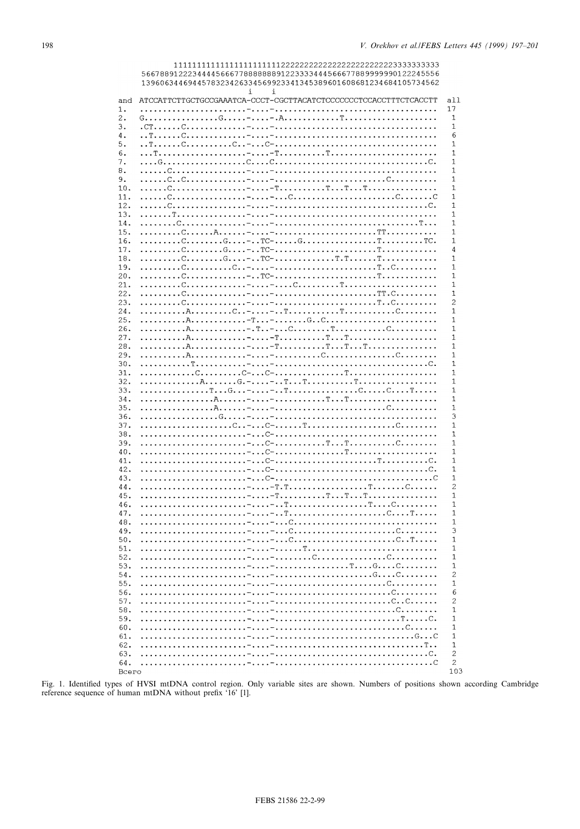|            | 5667889122234444566677888888891223333444566677889999990122245556<br>1396063446944578323426334569923341345389601608681234684105734562 |                   |
|------------|--------------------------------------------------------------------------------------------------------------------------------------|-------------------|
|            | $\mathbf{i}$<br>i                                                                                                                    |                   |
| and        | ATCCATTCTTGCTGCCGAAATCA-CCCT-CGCTTACATCTCCCCCCCTCCACCTTTCTCACCTT                                                                     | all               |
| 1.         |                                                                                                                                      | 17<br>1           |
| 2.<br>3.   |                                                                                                                                      | 1                 |
| 4.         |                                                                                                                                      | 6                 |
| 5.         |                                                                                                                                      | 1                 |
| 6.         |                                                                                                                                      | 1                 |
| 7.<br>8.   |                                                                                                                                      | 1<br>1            |
| 9.         |                                                                                                                                      | 1                 |
| 10.        |                                                                                                                                      | 1                 |
| 11.        |                                                                                                                                      | 1                 |
| 12.<br>13. |                                                                                                                                      | 1<br>1            |
| 14.        |                                                                                                                                      | 1                 |
| 15.        |                                                                                                                                      | 1                 |
| 16.        |                                                                                                                                      | 1                 |
| 17.        |                                                                                                                                      | 4                 |
| 18.<br>19. |                                                                                                                                      | 1<br>1            |
| 20.        |                                                                                                                                      | 1                 |
| 21.        |                                                                                                                                      | 1                 |
| 22.        |                                                                                                                                      | 1                 |
| 23.<br>24. |                                                                                                                                      | 2<br>1            |
| 25.        |                                                                                                                                      | 1                 |
| 26.        |                                                                                                                                      | 1                 |
| 27.        |                                                                                                                                      | 1                 |
| 28.        |                                                                                                                                      | 1                 |
| 29.<br>30. |                                                                                                                                      | 1<br>$\mathbf{1}$ |
| 31.        |                                                                                                                                      | 1                 |
| 32.        |                                                                                                                                      | $\mathbf{1}$      |
| 33.        |                                                                                                                                      | 1                 |
| 34.        |                                                                                                                                      | 1                 |
| 35.<br>36. |                                                                                                                                      | 1<br>3            |
| 37.        |                                                                                                                                      | 1                 |
| 38.        |                                                                                                                                      | 1                 |
| 39.        |                                                                                                                                      | 1                 |
| 40.        |                                                                                                                                      | 1                 |
| 41.<br>42. |                                                                                                                                      | 1<br>1            |
| 43.        |                                                                                                                                      | 1                 |
| 44.        |                                                                                                                                      | $\overline{c}$    |
| 45.        |                                                                                                                                      | $\mathbf{1}$      |
| 46.        |                                                                                                                                      | 1                 |
| 47.<br>48. |                                                                                                                                      | 1<br>1            |
| 49.        |                                                                                                                                      | 3                 |
| 50.        |                                                                                                                                      | 1                 |
| 51.        |                                                                                                                                      | 1                 |
| 52.        |                                                                                                                                      | 1                 |
| 53.<br>54. |                                                                                                                                      | 1<br>2            |
| 55.        |                                                                                                                                      | 1                 |
| 56.        |                                                                                                                                      | 6                 |
| 57.        |                                                                                                                                      | $\overline{c}$    |
| 58.        |                                                                                                                                      | 1<br>$\mathbf{1}$ |
| 59.<br>60. |                                                                                                                                      | 1                 |
| 61.        |                                                                                                                                      | 1                 |
| 62.        |                                                                                                                                      | 1                 |
| 63.        |                                                                                                                                      | 2                 |
| 64.        |                                                                                                                                      | 2<br>103          |
| Bcero      |                                                                                                                                      |                   |

Fig. 1. Identified types of HVSI mtDNA control region. Only variable sites are shown. Numbers of positions shown according Cambridge reference sequence of human mtDNA without prefix '16' [1].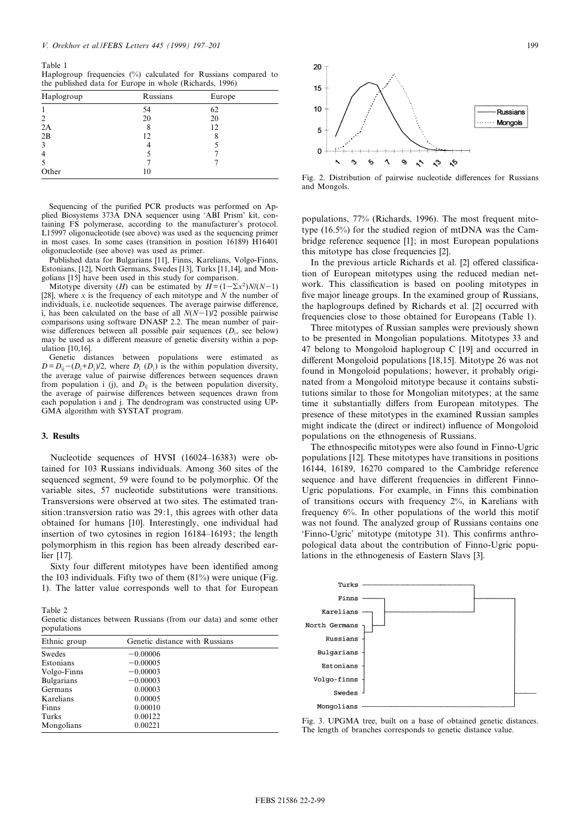Table 1 Haplogroup frequencies (%) calculated for Russians compared to the published data for Europe in whole (Richards, 1996)

| Haplogroup     | Russians | Europe |  |
|----------------|----------|--------|--|
|                | 54       | 62     |  |
| 2              | 20       | 20     |  |
| 2A             |          | 12     |  |
| 2B             | 12       |        |  |
| 3              |          |        |  |
| $\overline{4}$ |          |        |  |
| 5              |          |        |  |
| Other          | $\theta$ |        |  |

Sequencing of the purified PCR products was performed on Applied Biosystems 373A DNA sequencer using `ABI Prism' kit, containing FS polymerase, according to the manufacturer's protocol. L15997 oligonucleotide (see above) was used as the sequencing primer in most cases. In some cases (transition in position 16189) H16401 oligonucleotide (see above) was used as primer.

Published data for Bulgarians [11], Finns, Karelians, Volgo-Finns, Estonians, [12], North Germans, Swedes [13], Turks [11,14], and Mongolians [15] have been used in this study for comparison.

Mitotype diversity (*H*) can be estimated by  $H = (1 - \sum x^2)N/(N-1)$ [28], where  $x$  is the frequency of each mitotype and  $N$  the number of individuals, i.e. nucleotide sequences. The average pairwise difference, î, has been calculated on the base of all  $N(N-1)/2$  possible pairwise comparisons using software DNASP 2.2. The mean number of pairwise differences between all possible pair sequences  $(D_i)$ , see below) may be used as a different measure of genetic diversity within a population [10,16].

Genetic distances between populations were estimated as  $D = D_{ij} - (D_i + D_j)/2$ , where  $D_i$  (D<sub>j</sub>) is the within population diversity, the average value of pairwise differences between sequences drawn from population i (j), and  $D_{ij}$  is the between population diversity, the average of pairwise differences between sequences drawn from each population i and j. The dendrogram was constructed using UP-GMA algorithm with SYSTAT program.

#### 3. Results

Nucleotide sequences of HVSI (16024-16383) were obtained for 103 Russians individuals. Among 360 sites of the sequenced segment, 59 were found to be polymorphic. Of the variable sites, 57 nucleotide substitutions were transitions. Transversions were observed at two sites. The estimated transition:transversion ratio was 29:1, this agrees with other data obtained for humans [10]. Interestingly, one individual had insertion of two cytosines in region 16184–16193; the length polymorphism in this region has been already described earlier [17].

Sixty four different mitotypes have been identified among the 103 individuals. Fifty two of them (81%) were unique (Fig. 1). The latter value corresponds well to that for European

Table 2 Genetic distances between Russians (from our data) and some other populations

| Ethnic group      | Genetic distance with Russians |  |  |  |  |
|-------------------|--------------------------------|--|--|--|--|
| Swedes            | $-0.00006$                     |  |  |  |  |
| Estonians         | $-0.00005$                     |  |  |  |  |
| Volgo-Finns       | $-0.00003$                     |  |  |  |  |
| <b>Bulgarians</b> | $-0.00003$                     |  |  |  |  |
| Germans           | 0.00003                        |  |  |  |  |
| Karelians         | 0.00005                        |  |  |  |  |
| Finns             | 0.00010                        |  |  |  |  |
| Turks             | 0.00122                        |  |  |  |  |
| Mongolians        | 0.00221                        |  |  |  |  |



Fig. 2. Distribution of pairwise nucleotide differences for Russians and Mongols.

populations, 77% (Richards, 1996). The most frequent mitotype (16.5%) for the studied region of mtDNA was the Cambridge reference sequence [1]; in most European populations this mitotype has close frequencies [2].

In the previous article Richards et al. [2] offered classification of European mitotypes using the reduced median network. This classification is based on pooling mitotypes in five major lineage groups. In the examined group of Russians, the haplogroups de¢ned by Richards et al. [2] occurred with frequencies close to those obtained for Europeans (Table 1).

Three mitotypes of Russian samples were previously shown to be presented in Mongolian populations. Mitotypes 33 and 47 belong to Mongoloid haplogroup C [19] and occurred in different Mongoloid populations [18,15]. Mitotype 26 was not found in Mongoloid populations; however, it probably originated from a Mongoloid mitotype because it contains substitutions similar to those for Mongolian mitotypes; at the same time it substantially differs from European mitotypes. The presence of these mitotypes in the examined Russian samples might indicate the (direct or indirect) influence of Mongoloid populations on the ethnogenesis of Russians.

The ethnospecific mitotypes were also found in Finno-Ugric populations [12]. These mitotypes have transitions in positions 16144, 16189, 16270 compared to the Cambridge reference sequence and have different frequencies in different Finno-Ugric populations. For example, in Finns this combination of transitions occurs with frequency 2%, in Karelians with frequency 6%. In other populations of the world this motif was not found. The analyzed group of Russians contains one 'Finno-Ugric' mitotype (mitotype 31). This confirms anthropological data about the contribution of Finno-Ugric populations in the ethnogenesis of Eastern Slavs [3].



Fig. 3. UPGMA tree, built on a base of obtained genetic distances. The length of branches corresponds to genetic distance value.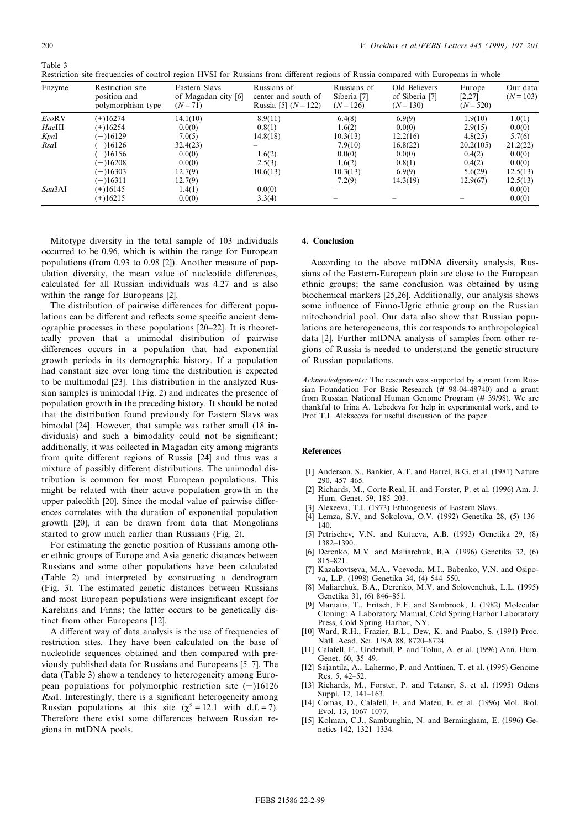| Restriction site frequencies of control region HVSI for Russians from different regions of Russia compared with Europeans in whole |  |  |  |  |  |  |
|------------------------------------------------------------------------------------------------------------------------------------|--|--|--|--|--|--|
|                                                                                                                                    |  |  |  |  |  |  |

| Enzyme       | Restriction site<br>position and<br>polymorphism type | Eastern Slavs<br>of Magadan city [6]<br>$(N=71)$ | Russians of<br>center and south of<br>Russia [5] $(N = 122)$ | Russians of<br>Siberia [7]<br>$(N=126)$ | Old Believers<br>of Siberia [7]<br>$(N=130)$ | Europe<br>[2,27]<br>$(N = 520)$ | Our data<br>$(N=103)$ |
|--------------|-------------------------------------------------------|--------------------------------------------------|--------------------------------------------------------------|-----------------------------------------|----------------------------------------------|---------------------------------|-----------------------|
| <b>EcoRV</b> | $(+)16274$                                            | 14.1(10)                                         | 8.9(11)                                                      | 6.4(8)                                  | 6.9(9)                                       | 1.9(10)                         | 1.0(1)                |
| HaeIII       | $(+)16254$                                            | 0.0(0)                                           | 0.8(1)                                                       | 1.6(2)                                  | 0.0(0)                                       | 2.9(15)                         | 0.0(0)                |
| KpnI         | $(-)16129$                                            | 7.0(5)                                           | 14.8(18)                                                     | 10.3(13)                                | 12.2(16)                                     | 4.8(25)                         | 5.7(6)                |
| RsaI         | $(-)16126$                                            | 32.4(23)                                         |                                                              | 7.9(10)                                 | 16.8(22)                                     | 20.2(105)                       | 21.2(22)              |
|              | $(-)16156$                                            | 0.0(0)                                           | 1.6(2)                                                       | 0.0(0)                                  | 0.0(0)                                       | 0.4(2)                          | 0.0(0)                |
|              | $(-)16208$                                            | 0.0(0)                                           | 2.5(3)                                                       | 1.6(2)                                  | 0.8(1)                                       | 0.4(2)                          | 0.0(0)                |
|              | $(-)16303$                                            | 12.7(9)                                          | 10.6(13)                                                     | 10.3(13)                                | 6.9(9)                                       | 5.6(29)                         | 12.5(13)              |
|              | $(-)16311$                                            | 12.7(9)                                          |                                                              | 7.2(9)                                  | 14.3(19)                                     | 12.9(67)                        | 12.5(13)              |
| Sau3AI       | (+)16145                                              | 1.4(1)                                           | 0.0(0)                                                       |                                         |                                              |                                 | 0.0(0)                |
|              | $(+)16215$                                            | 0.0(0)                                           | 3.3(4)                                                       |                                         |                                              |                                 | 0.0(0)                |

Mitotype diversity in the total sample of 103 individuals occurred to be 0.96, which is within the range for European populations (from 0.93 to 0.98 [2]). Another measure of population diversity, the mean value of nucleotide differences, calculated for all Russian individuals was 4.27 and is also within the range for Europeans [2].

The distribution of pairwise differences for different populations can be different and reflects some specific ancient demographic processes in these populations [20^22]. It is theoretically proven that a unimodal distribution of pairwise differences occurs in a population that had exponential growth periods in its demographic history. If a population had constant size over long time the distribution is expected to be multimodal [23]. This distribution in the analyzed Russian samples is unimodal (Fig. 2) and indicates the presence of population growth in the preceding history. It should be noted that the distribution found previously for Eastern Slavs was bimodal [24]. However, that sample was rather small (18 individuals) and such a bimodality could not be significant; additionally, it was collected in Magadan city among migrants from quite different regions of Russia [24] and thus was a mixture of possibly different distributions. The unimodal distribution is common for most European populations. This might be related with their active population growth in the upper paleolith [20]. Since the modal value of pairwise differences correlates with the duration of exponential population growth [20], it can be drawn from data that Mongolians started to grow much earlier than Russians (Fig. 2).

For estimating the genetic position of Russians among other ethnic groups of Europe and Asia genetic distances between Russians and some other populations have been calculated (Table 2) and interpreted by constructing a dendrogram (Fig. 3). The estimated genetic distances between Russians and most European populations were insignificant except for Karelians and Finns; the latter occurs to be genetically distinct from other Europeans [12].

A different way of data analysis is the use of frequencies of restriction sites. They have been calculated on the base of nucleotide sequences obtained and then compared with previously published data for Russians and Europeans [5^7]. The data (Table 3) show a tendency to heterogeneity among European populations for polymorphic restriction site  $(-)16126$ RsaI. Interestingly, there is a significant heterogeneity among Russian populations at this site  $(\chi^2 = 12.1 \text{ with } d.f. = 7)$ . Therefore there exist some differences between Russian regions in mtDNA pools.

## 4. Conclusion

According to the above mtDNA diversity analysis, Russians of the Eastern-European plain are close to the European ethnic groups; the same conclusion was obtained by using biochemical markers [25,26]. Additionally, our analysis shows some influence of Finno-Ugric ethnic group on the Russian mitochondrial pool. Our data also show that Russian populations are heterogeneous, this corresponds to anthropological data [2]. Further mtDNA analysis of samples from other regions of Russia is needed to understand the genetic structure of Russian populations.

Acknowledgements: The research was supported by a grant from Russian Foundation For Basic Research  $(H 98-04-48740)$  and a grant from Russian National Human Genome Program (# 39/98). We are thankful to Irina A. Lebedeva for help in experimental work, and to Prof T.I. Alekseeva for useful discussion of the paper.

### References

- [1] Anderson, S., Bankier, A.T. and Barrel, B.G. et al. (1981) Nature 290, 457-465.
- [2] Richards, M., Corte-Real, H. and Forster, P. et al. (1996) Am. J. Hum. Genet. 59, 185-203.
- Alexeeva, T.I. (1973) Ethnogenesis of Eastern Slavs.
- [4] Lemza, S.V. and Sokolova, O.V. (1992) Genetika 28, (5) 136^ 140.
- [5] Petrischev, V.N. and Kutueva, A.B. (1993) Genetika 29, (8) 1382^1390.
- [6] Derenko, M.V. and Maliarchuk, B.A. (1996) Genetika 32, (6) 815^821.
- [7] Kazakovtseva, M.A., Voevoda, M.I., Babenko, V.N. and Osipova, L.P. (1998) Genetika 34, (4) 544^550.
- [8] Maliarchuk, B.A., Derenko, M.V. and Solovenchuk, L.L. (1995) Genetika 31, (6) 846-851.
- [9] Maniatis, T., Fritsch, E.F. and Sambrook, J. (1982) Molecular Cloning: A Laboratory Manual, Cold Spring Harbor Laboratory Press, Cold Spring Harbor, NY.
- [10] Ward, R.H., Frazier, B.L., Dew, K. and Paabo, S. (1991) Proc. Natl. Acad. Sci. USA 88, 8720-8724.
- [11] Calafell, F., Underhill, P. and Tolun, A. et al. (1996) Ann. Hum. Genet. 60, 35-49.
- [12] Sajantila, A., Lahermo, P. and Anttinen, T. et al. (1995) Genome Res. 5, 42^52.
- [13] Richards, M., Forster, P. and Tetzner, S. et al. (1995) Odens Suppl. 12, 141–163.
- [14] Comas, D., Calafell, F. and Mateu, E. et al. (1996) Mol. Biol. Evol. 13, 1067-1077.
- [15] Kolman, C.J., Sambuughin, N. and Bermingham, E. (1996) Genetics 142, 1321^1334.